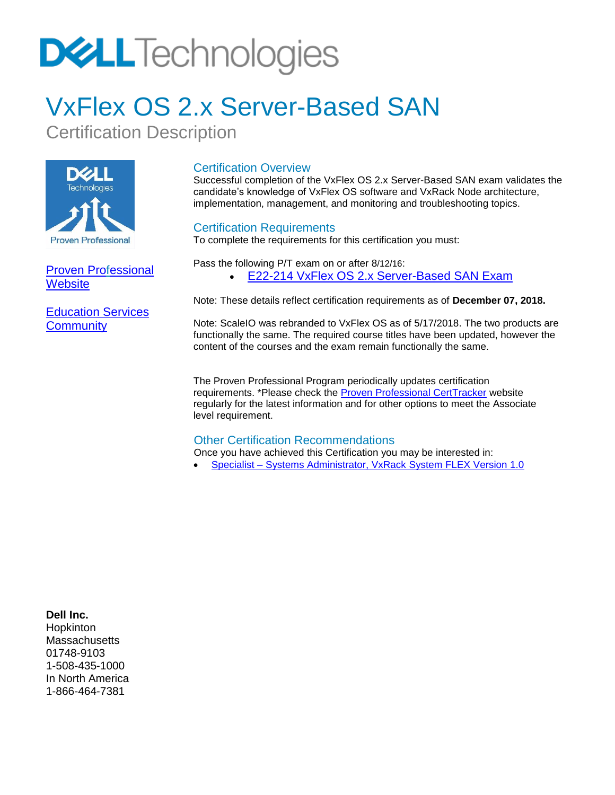# **DELL** Technologies

### VxFlex OS 2.x Server-Based SAN

Certification Description



[Proven Professional](https://education.emc.com/guest/certification/default.aspx)  **[Website](https://education.emc.com/guest/certification/default.aspx)** 

[Education Services](https://www.dell.com/community/Education-Services/bd-p/education-services)  **[Community](https://www.dell.com/community/Education-Services/bd-p/education-services)** 

#### Certification Overview

Successful completion of the VxFlex OS 2.x Server-Based SAN exam validates the candidate's knowledge of VxFlex OS software and VxRack Node architecture, implementation, management, and monitoring and troubleshooting topics.

#### Certification Requirements

To complete the requirements for this certification you must:

Pass the following P/T exam on or after 8/12/16: • E22-214 VxFlex OS 2.x [Server-Based SAN Exam](#page-0-0)

Note: These details reflect certification requirements as of **December 07, 2018.**

Note: ScaleIO was rebranded to VxFlex OS as of 5/17/2018. The two products are functionally the same. The required course titles have been updated, however the content of the courses and the exam remain functionally the same.

The Proven Professional Program periodically updates certification requirements. \*Please check the [Proven Professional CertTracker](https://www.certmetrics.com/emc/login.aspx?ReturnUrl=%2femc%2f) website regularly for the latest information and for other options to meet the Associate level requirement.

#### Other Certification Recommendations

Once you have achieved this Certification you may be interested in:

• Specialist – [Systems Administrator, VxRack](https://education.emc.com/content/dam/dell-emc/documents/en-us/DES-6231_Specialist%E2%80%93Systems_Administrator_VxRack_System_FLEX_Exam.pdf) System FLEX Version 1.0

#### **Dell Inc.**

<span id="page-0-0"></span>**Hopkinton Massachusetts** 01748-9103 1-508-435-1000 In North America 1-866-464-7381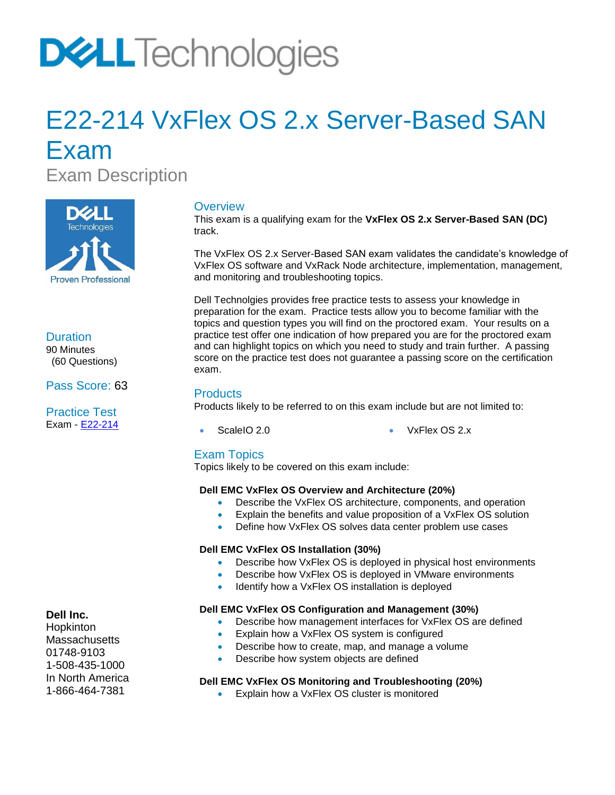## **DVLL** Technologies

### E22-214 VxFlex OS 2.x Server-Based SAN Exam

Exam Description



**Duration** 90 Minutes

 (60 Questions) Pass Score: 63

Practice Test Exam - [E22-214](https://secure.testcraft.com/emc/assess.aspx?aid=MR-1DP-214-2016Q3&apass=SCALEIOV2.0)

#### **Overview**

This exam is a qualifying exam for the **VxFlex OS 2.x Server-Based SAN (DC)** track.

The VxFlex OS 2.x Server-Based SAN exam validates the candidate's knowledge of VxFlex OS software and VxRack Node architecture, implementation, management, and monitoring and troubleshooting topics.

Dell Technolgies provides free practice tests to assess your knowledge in preparation for the exam. Practice tests allow you to become familiar with the topics and question types you will find on the proctored exam. Your results on a practice test offer one indication of how prepared you are for the proctored exam and can highlight topics on which you need to study and train further. A passing score on the practice test does not guarantee a passing score on the certification exam.

#### **Products**

Products likely to be referred to on this exam include but are not limited to:

- 
- ScaleIO 2.0 VxFlex OS 2.x

#### Exam Topics

Topics likely to be covered on this exam include:

#### **Dell EMC VxFlex OS Overview and Architecture (20%)**

- Describe the VxFlex OS architecture, components, and operation
- Explain the benefits and value proposition of a VxFlex OS solution
	- Define how VxFlex OS solves data center problem use cases

#### **Dell EMC VxFlex OS Installation (30%)**

- Describe how VxFlex OS is deployed in physical host environments
- Describe how VxFlex OS is deployed in VMware environments
- Identify how a VxFlex OS installation is deployed

#### **Dell EMC VxFlex OS Configuration and Management (30%)**

- Describe how management interfaces for VxFlex OS are defined
- Explain how a VxFlex OS system is configured
- Describe how to create, map, and manage a volume
- Describe how system objects are defined

#### **Dell EMC VxFlex OS Monitoring and Troubleshooting (20%)**

• Explain how a VxFlex OS cluster is monitored

#### **Dell Inc.**

Hopkinton **Massachusetts** 01748-9103 1-508-435-1000 In North America 1-866-464-7381